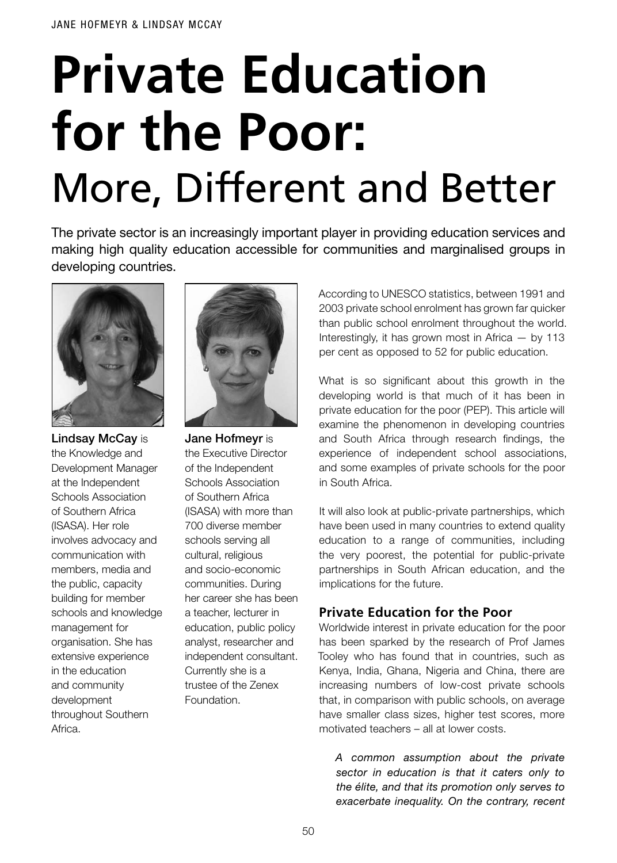# **Private Education for the Poor:** More, Different and Better

The private sector is an increasingly important player in providing education services and making high quality education accessible for communities and marginalised groups in developing countries.



**Lindsay McCay is** the Knowledge and Development Manager at the Independent Schools Association of Southern Africa (ISASA). Her role involves advocacy and communication with members, media and the public, capacity building for member schools and knowledge management for organisation. She has extensive experience in the education and community development throughout Southern Africa.



Jane Hofmeyr is the Executive Director of the Independent Schools Association of Southern Africa (ISASA) with more than 700 diverse member schools serving all cultural, religious and socio-economic communities. During her career she has been a teacher, lecturer in education, public policy analyst, researcher and independent consultant. Currently she is a trustee of the Zenex Foundation.

According to UNESCO statistics, between 1991 and 2003 private school enrolment has grown far quicker than public school enrolment throughout the world. Interestingly, it has grown most in Africa  $-$  by 113 per cent as opposed to 52 for public education.

What is so significant about this growth in the developing world is that much of it has been in private education for the poor (PEP). This article will examine the phenomenon in developing countries and South Africa through research findings, the experience of independent school associations, and some examples of private schools for the poor in South Africa.

It will also look at public-private partnerships, which have been used in many countries to extend quality education to a range of communities, including the very poorest, the potential for public-private partnerships in South African education, and the implications for the future.

# **Private Education for the Poor**

Worldwide interest in private education for the poor has been sparked by the research of Prof James Tooley who has found that in countries, such as Kenya, India, Ghana, Nigeria and China, there are increasing numbers of low-cost private schools that, in comparison with public schools, on average have smaller class sizes, higher test scores, more motivated teachers – all at lower costs.

*A common assumption about the private sector in education is that it caters only to the élite, and that its promotion only serves to exacerbate inequality. On the contrary, recent*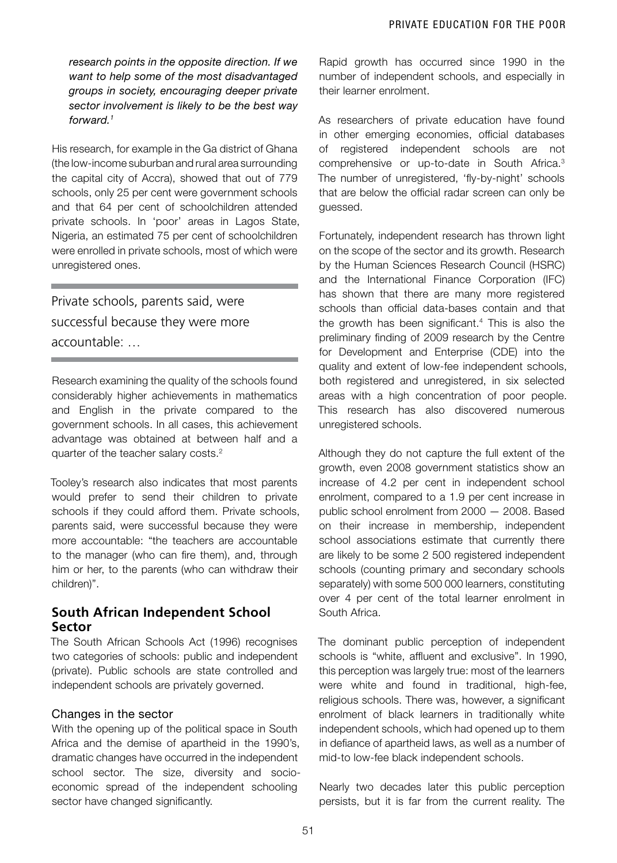*research points in the opposite direction. If we want to help some of the most disadvantaged groups in society, encouraging deeper private sector involvement is likely to be the best way forward.1*

His research, for example in the Ga district of Ghana (the low-income suburban and rural area surrounding the capital city of Accra), showed that out of 779 schools, only 25 per cent were government schools and that 64 per cent of schoolchildren attended private schools. In 'poor' areas in Lagos State, Nigeria, an estimated 75 per cent of schoolchildren were enrolled in private schools, most of which were unregistered ones.

Private schools, parents said, were successful because they were more accountable: …

Research examining the quality of the schools found considerably higher achievements in mathematics and English in the private compared to the government schools. In all cases, this achievement advantage was obtained at between half and a quarter of the teacher salary costs.<sup>2</sup>

Tooley's research also indicates that most parents would prefer to send their children to private schools if they could afford them. Private schools, parents said, were successful because they were more accountable: "the teachers are accountable to the manager (who can fire them), and, through him or her, to the parents (who can withdraw their children)".

## **South African Independent School Sector**

The South African Schools Act (1996) recognises two categories of schools: public and independent (private). Public schools are state controlled and independent schools are privately governed.

## Changes in the sector

With the opening up of the political space in South Africa and the demise of apartheid in the 1990's, dramatic changes have occurred in the independent school sector. The size, diversity and socioeconomic spread of the independent schooling sector have changed significantly.

Rapid growth has occurred since 1990 in the number of independent schools, and especially in their learner enrolment.

As researchers of private education have found in other emerging economies, official databases of registered independent schools are not comprehensive or up-to-date in South Africa.3 The number of unregistered, 'fly-by-night' schools that are below the official radar screen can only be guessed.

Fortunately, independent research has thrown light on the scope of the sector and its growth. Research by the Human Sciences Research Council (HSRC) and the International Finance Corporation (IFC) has shown that there are many more registered schools than official data-bases contain and that the growth has been significant.4 This is also the preliminary finding of 2009 research by the Centre for Development and Enterprise (CDE) into the quality and extent of low-fee independent schools, both registered and unregistered, in six selected areas with a high concentration of poor people. This research has also discovered numerous unregistered schools.

Although they do not capture the full extent of the growth, even 2008 government statistics show an increase of 4.2 per cent in independent school enrolment, compared to a 1.9 per cent increase in public school enrolment from 2000 — 2008. Based on their increase in membership, independent school associations estimate that currently there are likely to be some 2 500 registered independent schools (counting primary and secondary schools separately) with some 500 000 learners, constituting over 4 per cent of the total learner enrolment in South Africa.

The dominant public perception of independent schools is "white, affluent and exclusive". In 1990, this perception was largely true: most of the learners were white and found in traditional, high-fee, religious schools. There was, however, a significant enrolment of black learners in traditionally white independent schools, which had opened up to them in defiance of apartheid laws, as well as a number of mid-to low-fee black independent schools.

Nearly two decades later this public perception persists, but it is far from the current reality. The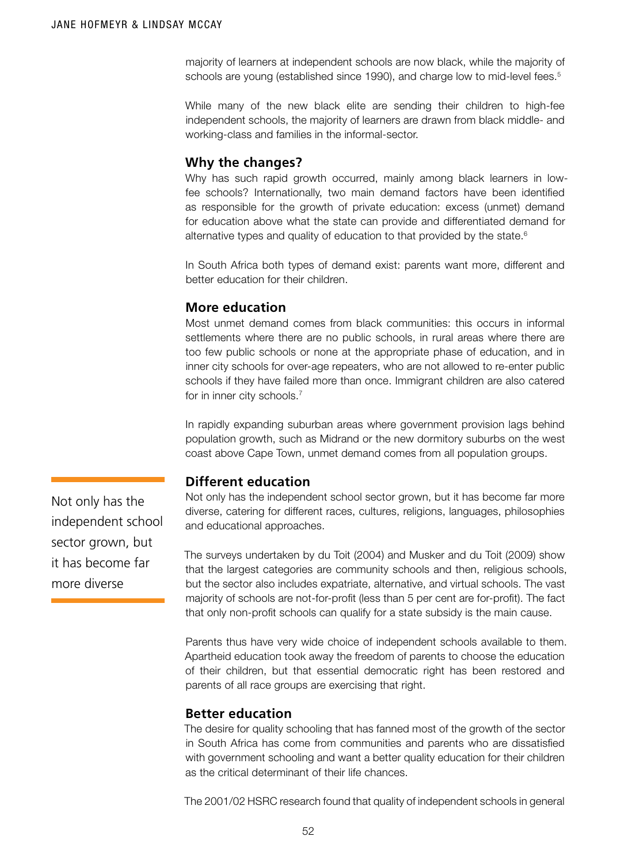majority of learners at independent schools are now black, while the majority of schools are young (established since 1990), and charge low to mid-level fees.<sup>5</sup>

While many of the new black elite are sending their children to high-fee independent schools, the majority of learners are drawn from black middle- and working-class and families in the informal-sector.

#### **Why the changes?**

Why has such rapid growth occurred, mainly among black learners in lowfee schools? Internationally, two main demand factors have been identified as responsible for the growth of private education: excess (unmet) demand for education above what the state can provide and differentiated demand for alternative types and quality of education to that provided by the state.<sup>6</sup>

In South Africa both types of demand exist: parents want more, different and better education for their children.

## **More education**

Most unmet demand comes from black communities: this occurs in informal settlements where there are no public schools, in rural areas where there are too few public schools or none at the appropriate phase of education, and in inner city schools for over-age repeaters, who are not allowed to re-enter public schools if they have failed more than once. Immigrant children are also catered for in inner city schools.<sup>7</sup>

In rapidly expanding suburban areas where government provision lags behind population growth, such as Midrand or the new dormitory suburbs on the west coast above Cape Town, unmet demand comes from all population groups.

## **Different education**

Not only has the independent school sector grown, but it has become far more diverse, catering for different races, cultures, religions, languages, philosophies and educational approaches.

The surveys undertaken by du Toit (2004) and Musker and du Toit (2009) show that the largest categories are community schools and then, religious schools, but the sector also includes expatriate, alternative, and virtual schools. The vast majority of schools are not-for-profit (less than 5 per cent are for-profit). The fact that only non-profit schools can qualify for a state subsidy is the main cause.

Parents thus have very wide choice of independent schools available to them. Apartheid education took away the freedom of parents to choose the education of their children, but that essential democratic right has been restored and parents of all race groups are exercising that right.

#### **Better education**

The desire for quality schooling that has fanned most of the growth of the sector in South Africa has come from communities and parents who are dissatisfied with government schooling and want a better quality education for their children as the critical determinant of their life chances.

The 2001/02 HSRC research found that quality of independent schools in general

Not only has the independent school sector grown, but it has become far more diverse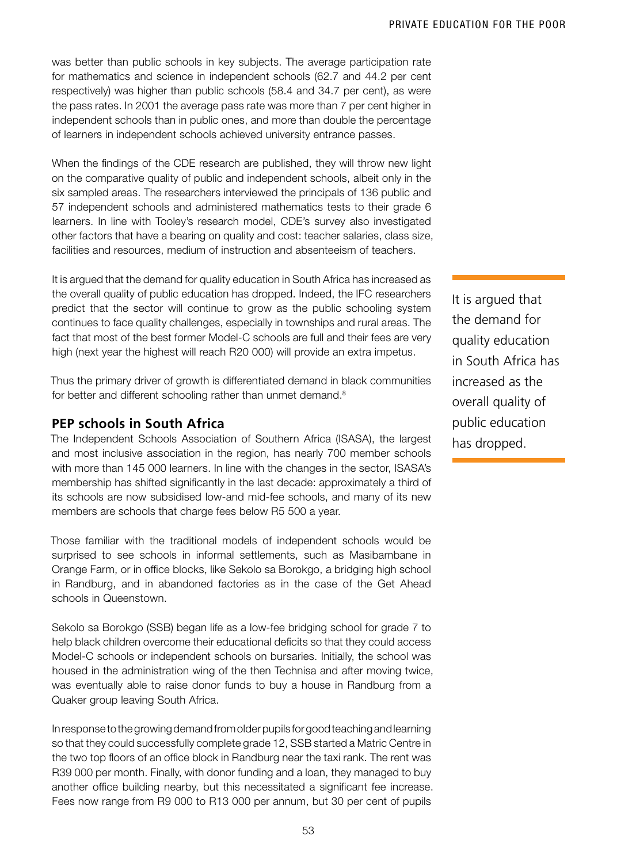was better than public schools in key subjects. The average participation rate for mathematics and science in independent schools (62.7 and 44.2 per cent respectively) was higher than public schools (58.4 and 34.7 per cent), as were the pass rates. In 2001 the average pass rate was more than 7 per cent higher in independent schools than in public ones, and more than double the percentage of learners in independent schools achieved university entrance passes.

When the findings of the CDE research are published, they will throw new light on the comparative quality of public and independent schools, albeit only in the six sampled areas. The researchers interviewed the principals of 136 public and 57 independent schools and administered mathematics tests to their grade 6 learners. In line with Tooley's research model, CDE's survey also investigated other factors that have a bearing on quality and cost: teacher salaries, class size, facilities and resources, medium of instruction and absenteeism of teachers.

It is argued that the demand for quality education in South Africa has increased as the overall quality of public education has dropped. Indeed, the IFC researchers predict that the sector will continue to grow as the public schooling system continues to face quality challenges, especially in townships and rural areas. The fact that most of the best former Model-C schools are full and their fees are very high (next year the highest will reach R20 000) will provide an extra impetus.

Thus the primary driver of growth is differentiated demand in black communities for better and different schooling rather than unmet demand.<sup>8</sup>

## **PEP schools in South Africa**

The Independent Schools Association of Southern Africa (ISASA), the largest and most inclusive association in the region, has nearly 700 member schools with more than 145 000 learners. In line with the changes in the sector, ISASA's membership has shifted significantly in the last decade: approximately a third of its schools are now subsidised low-and mid-fee schools, and many of its new members are schools that charge fees below R5 500 a year.

Those familiar with the traditional models of independent schools would be surprised to see schools in informal settlements, such as Masibambane in Orange Farm, or in office blocks, like Sekolo sa Borokgo, a bridging high school in Randburg, and in abandoned factories as in the case of the Get Ahead schools in Queenstown.

Sekolo sa Borokgo (SSB) began life as a low-fee bridging school for grade 7 to help black children overcome their educational deficits so that they could access Model-C schools or independent schools on bursaries. Initially, the school was housed in the administration wing of the then Technisa and after moving twice, was eventually able to raise donor funds to buy a house in Randburg from a Quaker group leaving South Africa.

In response to the growing demand from older pupils for good teaching and learning so that they could successfully complete grade 12, SSB started a Matric Centre in the two top floors of an office block in Randburg near the taxi rank. The rent was R39 000 per month. Finally, with donor funding and a loan, they managed to buy another office building nearby, but this necessitated a significant fee increase. Fees now range from R9 000 to R13 000 per annum, but 30 per cent of pupils

It is argued that the demand for quality education in South Africa has increased as the overall quality of public education has dropped.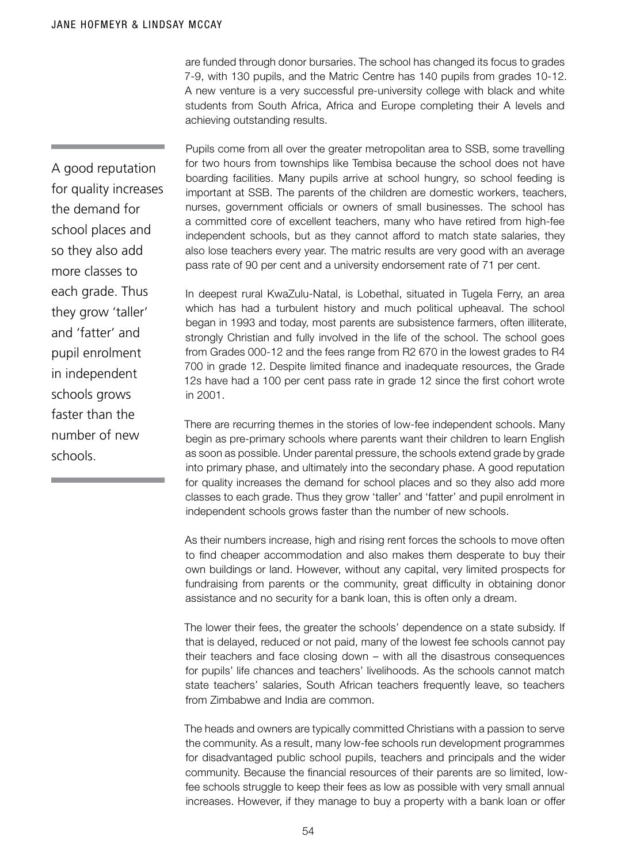are funded through donor bursaries. The school has changed its focus to grades 7-9, with 130 pupils, and the Matric Centre has 140 pupils from grades 10-12. A new venture is a very successful pre-university college with black and white students from South Africa, Africa and Europe completing their A levels and achieving outstanding results.

Pupils come from all over the greater metropolitan area to SSB, some travelling for two hours from townships like Tembisa because the school does not have boarding facilities. Many pupils arrive at school hungry, so school feeding is important at SSB. The parents of the children are domestic workers, teachers, nurses, government officials or owners of small businesses. The school has a committed core of excellent teachers, many who have retired from high-fee independent schools, but as they cannot afford to match state salaries, they also lose teachers every year. The matric results are very good with an average pass rate of 90 per cent and a university endorsement rate of 71 per cent.

In deepest rural KwaZulu-Natal, is Lobethal, situated in Tugela Ferry, an area which has had a turbulent history and much political upheaval. The school began in 1993 and today, most parents are subsistence farmers, often illiterate, strongly Christian and fully involved in the life of the school. The school goes from Grades 000-12 and the fees range from R2 670 in the lowest grades to R4 700 in grade 12. Despite limited finance and inadequate resources, the Grade 12s have had a 100 per cent pass rate in grade 12 since the first cohort wrote in 2001.

There are recurring themes in the stories of low-fee independent schools. Many begin as pre-primary schools where parents want their children to learn English as soon as possible. Under parental pressure, the schools extend grade by grade into primary phase, and ultimately into the secondary phase. A good reputation for quality increases the demand for school places and so they also add more classes to each grade. Thus they grow 'taller' and 'fatter' and pupil enrolment in independent schools grows faster than the number of new schools.

As their numbers increase, high and rising rent forces the schools to move often to find cheaper accommodation and also makes them desperate to buy their own buildings or land. However, without any capital, very limited prospects for fundraising from parents or the community, great difficulty in obtaining donor assistance and no security for a bank loan, this is often only a dream.

The lower their fees, the greater the schools' dependence on a state subsidy. If that is delayed, reduced or not paid, many of the lowest fee schools cannot pay their teachers and face closing down – with all the disastrous consequences for pupils' life chances and teachers' livelihoods. As the schools cannot match state teachers' salaries, South African teachers frequently leave, so teachers from Zimbabwe and India are common.

The heads and owners are typically committed Christians with a passion to serve the community. As a result, many low-fee schools run development programmes for disadvantaged public school pupils, teachers and principals and the wider community. Because the financial resources of their parents are so limited, lowfee schools struggle to keep their fees as low as possible with very small annual increases. However, if they manage to buy a property with a bank loan or offer

A good reputation for quality increases the demand for school places and so they also add more classes to each grade. Thus they grow 'taller' and 'fatter' and pupil enrolment in independent schools grows faster than the number of new schools.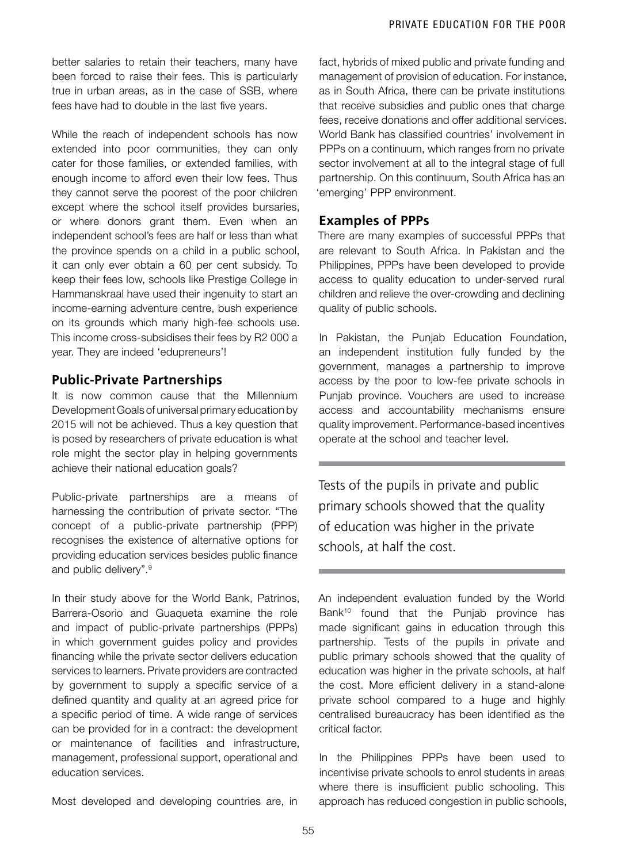better salaries to retain their teachers, many have been forced to raise their fees. This is particularly true in urban areas, as in the case of SSB, where fees have had to double in the last five years.

While the reach of independent schools has now extended into poor communities, they can only cater for those families, or extended families, with enough income to afford even their low fees. Thus they cannot serve the poorest of the poor children except where the school itself provides bursaries, or where donors grant them. Even when an independent school's fees are half or less than what the province spends on a child in a public school, it can only ever obtain a 60 per cent subsidy. To keep their fees low, schools like Prestige College in Hammanskraal have used their ingenuity to start an income-earning adventure centre, bush experience on its grounds which many high-fee schools use. This income cross-subsidises their fees by R2 000 a year. They are indeed 'edupreneurs'!

## **Public-Private Partnerships**

It is now common cause that the Millennium Development Goals of universal primary education by 2015 will not be achieved. Thus a key question that is posed by researchers of private education is what role might the sector play in helping governments achieve their national education goals?

Public-private partnerships are a means of harnessing the contribution of private sector. "The concept of a public-private partnership (PPP) recognises the existence of alternative options for providing education services besides public finance and public delivery".9

In their study above for the World Bank, Patrinos, Barrera-Osorio and Guaqueta examine the role and impact of public-private partnerships (PPPs) in which government guides policy and provides financing while the private sector delivers education services to learners. Private providers are contracted by government to supply a specific service of a defined quantity and quality at an agreed price for a specific period of time. A wide range of services can be provided for in a contract: the development or maintenance of facilities and infrastructure, management, professional support, operational and education services.

Most developed and developing countries are, in

fact, hybrids of mixed public and private funding and management of provision of education. For instance, as in South Africa, there can be private institutions that receive subsidies and public ones that charge fees, receive donations and offer additional services. World Bank has classified countries' involvement in PPPs on a continuum, which ranges from no private sector involvement at all to the integral stage of full partnership. On this continuum, South Africa has an 'emerging' PPP environment.

## **Examples of PPPs**

There are many examples of successful PPPs that are relevant to South Africa. In Pakistan and the Philippines, PPPs have been developed to provide access to quality education to under-served rural children and relieve the over-crowding and declining quality of public schools.

In Pakistan, the Punjab Education Foundation, an independent institution fully funded by the government, manages a partnership to improve access by the poor to low-fee private schools in Punjab province. Vouchers are used to increase access and accountability mechanisms ensure quality improvement. Performance-based incentives operate at the school and teacher level.

Tests of the pupils in private and public primary schools showed that the quality of education was higher in the private schools, at half the cost.

An independent evaluation funded by the World Bank<sup>10</sup> found that the Punjab province has made significant gains in education through this partnership. Tests of the pupils in private and public primary schools showed that the quality of education was higher in the private schools, at half the cost. More efficient delivery in a stand-alone private school compared to a huge and highly centralised bureaucracy has been identified as the critical factor.

In the Philippines PPPs have been used to incentivise private schools to enrol students in areas where there is insufficient public schooling. This approach has reduced congestion in public schools,